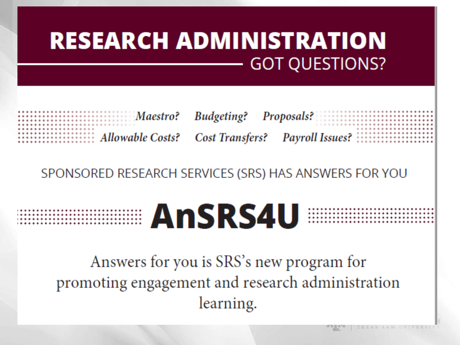| <b>RESEARCH ADMINISTRATION</b> |                                                              |
|--------------------------------|--------------------------------------------------------------|
|                                | <b>Maestro?</b> Budgeting? Proposals? <b>Execution:</b> 1999 |

SPONSORED RESEARCH SERVICES (SRS) HAS ANSWERS FOR YOU



Answers for you is SRS's new program for promoting engagement and research administration learning.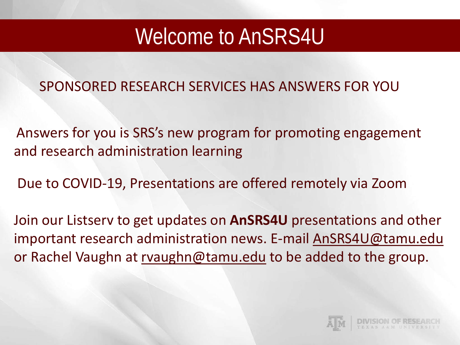#### Welcome to AnSRS4U

SPONSORED RESEARCH SERVICES HAS ANSWERS FOR YOU

Answers for you is SRS's new program for promoting engagement and research administration learning

Due to COVID-19, Presentations are offered remotely via Zoom

Join our Listserv to get updates on **AnSRS4U** presentations and other important research administration news. E-mail [AnSRS4U@tamu.edu](mailto:AnSRS4U@tamu.edu) or Rachel Vaughn at [rvaughn@tamu.edu](mailto:rvaughn@tamu.edu) to be added to the group.

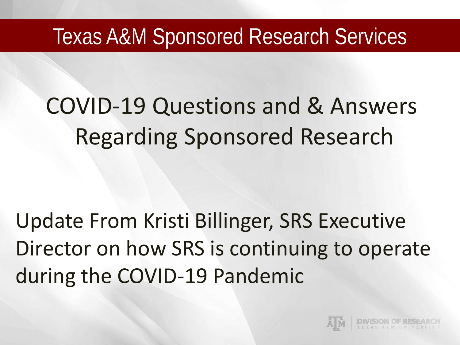#### Texas A&M Sponsored Research Services

# COVID-19 Questions and & Answers Regarding Sponsored Research

Update From Kristi Billinger, SRS Executive Director on how SRS is continuing to operate during the COVID-19 Pandemic

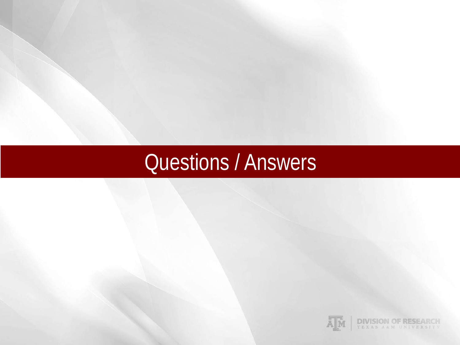### Questions / Answers

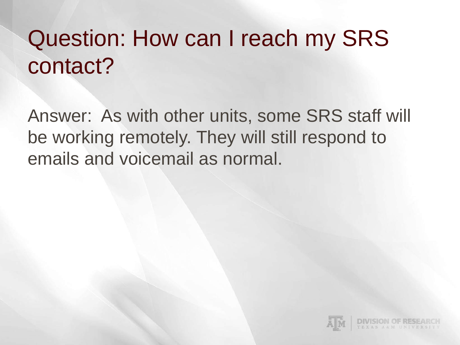## Question: How can I reach my SRS contact?

Answer: As with other units, some SRS staff will be working remotely. They will still respond to emails and voicemail as normal.

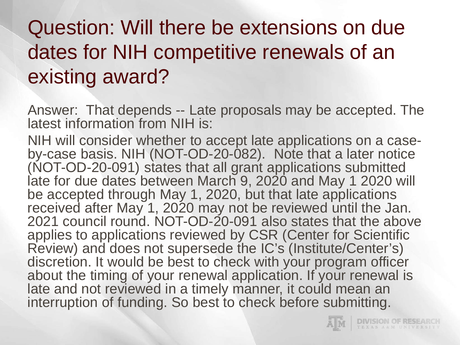### Question: Will there be extensions on due dates for NIH competitive renewals of an existing award?

Answer: That depends -- Late proposals may be accepted. The latest information from NIH is:

NIH will consider whether to accept late applications on a case- by-case basis. NIH (NOT-OD-20-082). Note that a later notice (NOT-OD-20-091) states that all grant applications submitted late for due dates between March 9, 2020 and May 1 2020 will be accepted through May 1, 2020, but that late applications received after May 1, 2020 may not be reviewed until the Jan. 2021 council round. NOT-OD-20-091 also states that the above applies to applications reviewed by CSR (Center for Scientific Review) and does not supersede the IC's (Institute/Center's) discretion. It would be best to check with your program officer about the timing of your renewal application. If your renewal is late and not reviewed in a timely manner, it could mean an interruption of funding. So best to check before submitting.

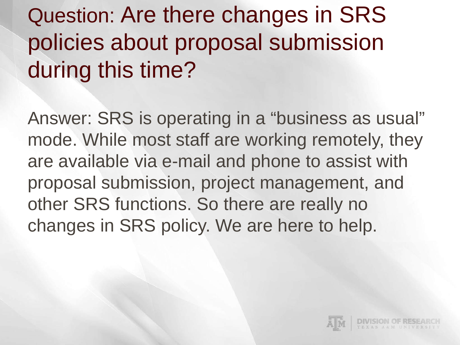## Question: Are there changes in SRS policies about proposal submission during this time?

Answer: SRS is operating in a "business as usual" mode. While most staff are working remotely, they are available via e-mail and phone to assist with proposal submission, project management, and other SRS functions. So there are really no changes in SRS policy. We are here to help.

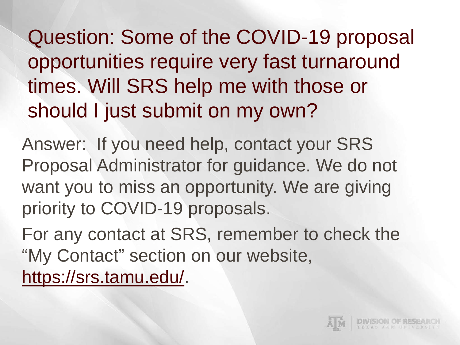Question: Some of the COVID-19 proposal opportunities require very fast turnaround times. Will SRS help me with those or should I just submit on my own?

Answer: If you need help, contact your SRS Proposal Administrator for guidance. We do not want you to miss an opportunity. We are giving priority to COVID-19 proposals.

For any contact at SRS, remember to check the "My Contact" section on our website, [https://srs.tamu.edu/.](https://srs.tamu.edu/)

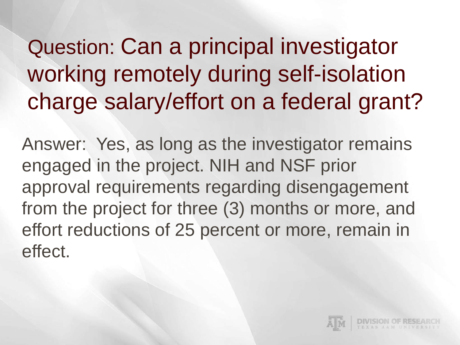Question: Can a principal investigator working remotely during self-isolation charge salary/effort on a federal grant?

Answer: Yes, as long as the investigator remains engaged in the project. NIH and NSF prior approval requirements regarding disengagement from the project for three (3) months or more, and effort reductions of 25 percent or more, remain in effect.

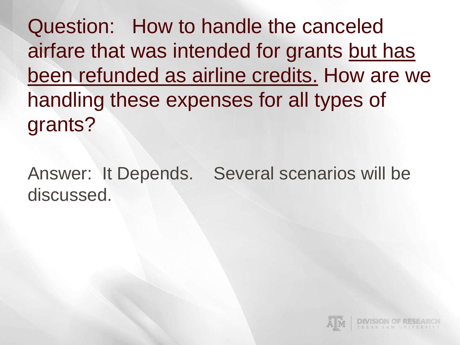Question: How to handle the canceled airfare that was intended for grants but has been refunded as airline credits. How are we handling these expenses for all types of grants?

Answer: It Depends. Several scenarios will be discussed.

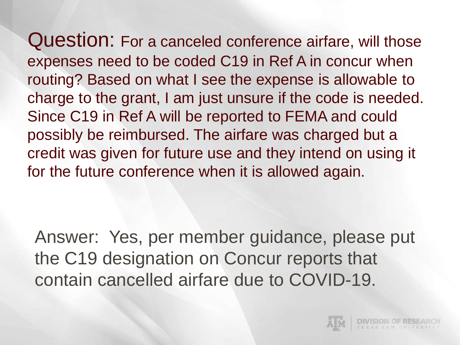Question: For a canceled conference airfare, will those expenses need to be coded C19 in Ref A in concur when routing? Based on what I see the expense is allowable to charge to the grant, I am just unsure if the code is needed. Since C19 in Ref A will be reported to FEMA and could possibly be reimbursed. The airfare was charged but a credit was given for future use and they intend on using it for the future conference when it is allowed again.

Answer: Yes, per member guidance, please put the C19 designation on Concur reports that contain cancelled airfare due to COVID-19.

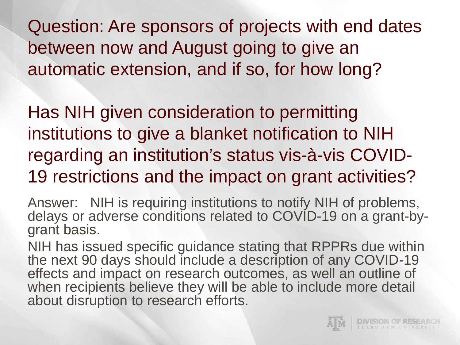Question: Are sponsors of projects with end dates between now and August going to give an automatic extension, and if so, for how long?

Has NIH given consideration to permitting institutions to give a blanket notification to NIH regarding an institution's status vis-à-vis COVID-19 restrictions and the impact on grant activities?

Answer: NIH is requiring institutions to notify NIH of problems, delays or adverse conditions related to COVID-19 on a grant-by-<br>grant basis.

NIH has issued specific guidance stating that RPPRs due within the next 90 days should include a description of any COVID-19 effects and impact on research outcomes, as well an outline of when recipients believe they will be able to include more detail about disruption to research efforts.

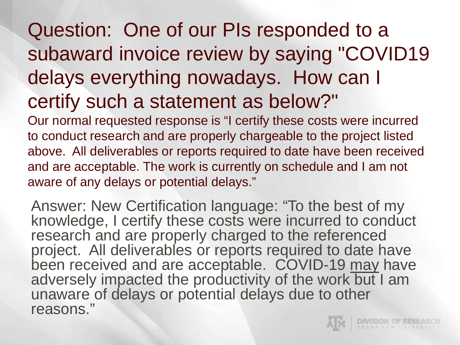#### Question: One of our PIs responded to a subaward invoice review by saying "COVID19 delays everything nowadays. How can I certify such a statement as below?"

Our normal requested response is "I certify these costs were incurred to conduct research and are properly chargeable to the project listed above. All deliverables or reports required to date have been received and are acceptable. The work is currently on schedule and I am not aware of any delays or potential delays."

Answer: New Certification language: "To the best of my knowledge, I certify these costs were incurred to conduct research and are properly charged to the referenced project. All deliverables or reports required to date have been received and are acceptable. COVID-19 may have adversely impacted the productivity of the work but I am unaware of delays or potential delays due to other reasons."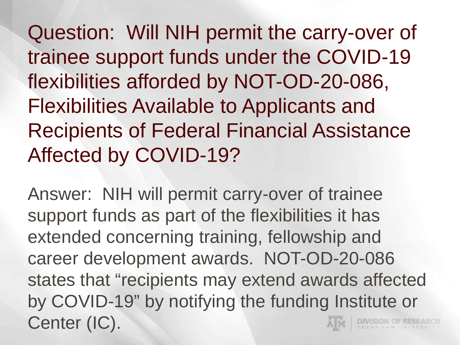Question: Will NIH permit the carry-over of trainee support funds under the COVID-19 flexibilities afforded by NOT-OD-20-086, Flexibilities Available to Applicants and Recipients of Federal Financial Assistance Affected by COVID-19?

Answer: NIH will permit carry-over of trainee support funds as part of the flexibilities it has extended concerning training, fellowship and career development awards. NOT-OD-20-086 states that "recipients may extend awards affected by COVID-19" by notifying the funding Institute or Center (IC).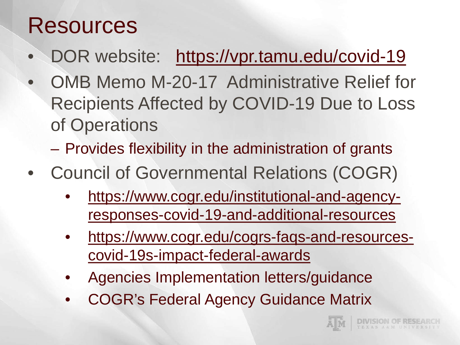### Resources

- DOR website: <https://vpr.tamu.edu/covid-19>
- OMB Memo M-20-17 Administrative Relief for Recipients Affected by COVID-19 Due to Loss of Operations
	- Provides flexibility in the administration of grants
- Council of Governmental Relations (COGR)
	- [https://www.cogr.edu/institutional-and-agency](https://www.cogr.edu/cogrs-faqs-and-resources-covid-19s-impact-federal-awards)responses-covid-19-and-additional-resources
	- [https://www.cogr.edu/cogrs-faqs-and-resources](https://www.cogr.edu/cogrs-faqs-and-resources-covid-19s-impact-federal-awards)covid-19s-impact-federal-awards
	- Agencies Implementation letters/guidance
	- COGR's Federal Agency Guidance Matrix